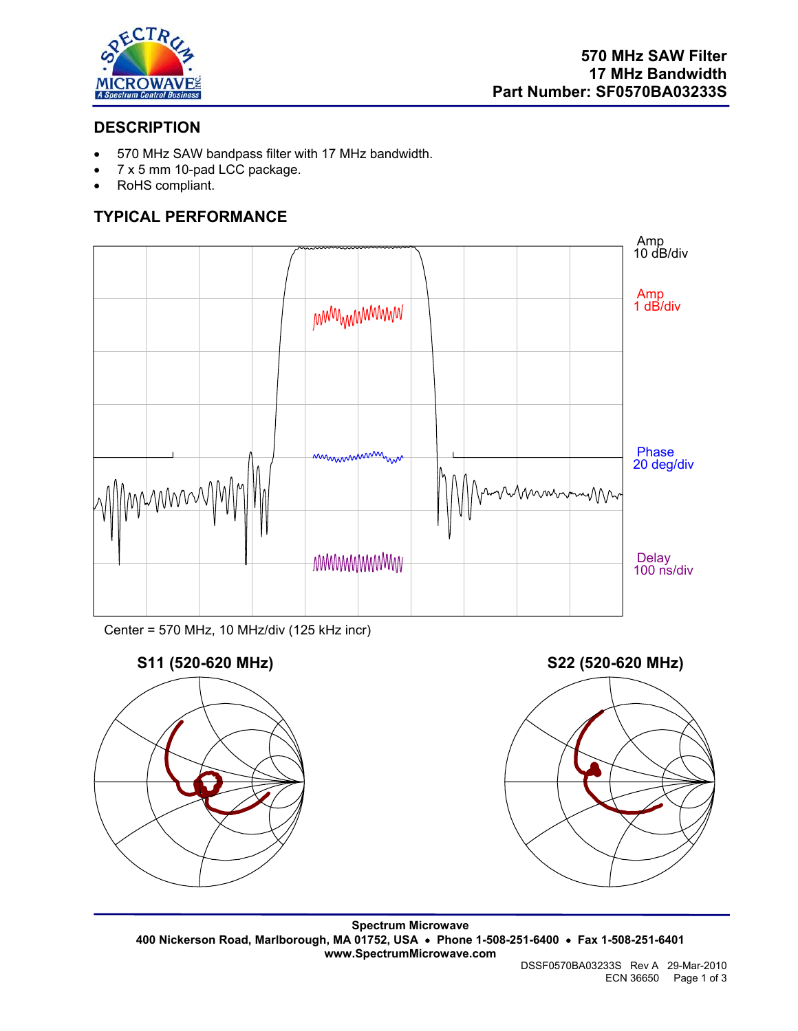

# **DESCRIPTION**

- 570 MHz SAW bandpass filter with 17 MHz bandwidth.
- 7 x 5 mm 10-pad LCC package.
- RoHS compliant.

# **TYPICAL PERFORMANCE**



Center = 570 MHz, 10 MHz/div (125 kHz incr)



**Spectrum Microwave 400 Nickerson Road, Marlborough, MA 01752, USA** • **Phone 1-508-251-6400** • **Fax 1-508-251-6401 www.SpectrumMicrowave.com**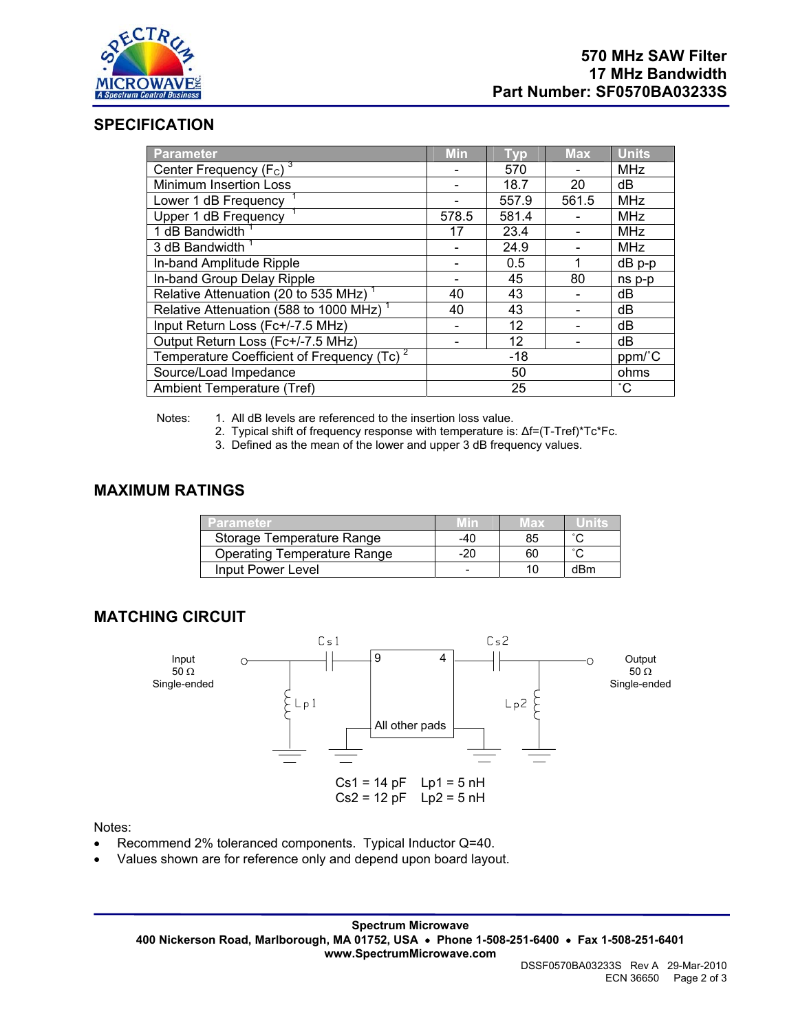

## **SPECIFICATION**

| Parameter                                              | <b>Min</b> | <b>Typ</b> | <b>Max</b> | <b>Units</b> |
|--------------------------------------------------------|------------|------------|------------|--------------|
| Center Frequency $(F_c)^3$                             |            | 570        |            | <b>MHz</b>   |
| <b>Minimum Insertion Loss</b>                          |            | 18.7       | 20         | dB           |
| Lower 1 dB Frequency                                   |            | 557.9      | 561.5      | <b>MHz</b>   |
| Upper 1 dB Frequency                                   | 578.5      | 581.4      |            | MHz          |
| 1 dB Bandwidth                                         | 17         | 23.4       |            | <b>MHz</b>   |
| 3 dB Bandwidth                                         |            | 24.9       |            | <b>MHz</b>   |
| In-band Amplitude Ripple                               |            | 0.5        |            | $dB$ p-p     |
| In-band Group Delay Ripple                             |            | 45         | 80         | ns p-p       |
| Relative Attenuation (20 to 535 MHz) <sup>1</sup>      | 40         | 43         |            | dB           |
| Relative Attenuation (588 to 1000 MHz) <sup>1</sup>    | 40         | 43         |            | dB           |
| Input Return Loss (Fc+/-7.5 MHz)                       |            | 12         |            | dB           |
| Output Return Loss (Fc+/-7.5 MHz)                      |            | 12         |            | dB           |
| Temperature Coefficient of Frequency (Tc) <sup>2</sup> | $-18$      |            |            | ppm/°C       |
| Source/Load Impedance                                  | 50         |            |            | ohms         |
| Ambient Temperature (Tref)                             | 25         |            |            | $^{\circ}$ C |

Notes: 1. All dB levels are referenced to the insertion loss value.

- 2. Typical shift of frequency response with temperature is: ∆f=(T-Tref)\*Tc\*Fc.
- 3. Defined as the mean of the lower and upper 3 dB frequency values.

## **MAXIMUM RATINGS**

| Parameter.                         |     | vlax |        |
|------------------------------------|-----|------|--------|
| Storage Temperature Range          | -40 | 85   |        |
| <b>Operating Temperature Range</b> | -20 | 60   | $\sim$ |
| Input Power Level                  |     |      | dBm    |

### **MATCHING CIRCUIT**



#### Notes:

- Recommend 2% toleranced components. Typical Inductor Q=40.
- Values shown are for reference only and depend upon board layout.